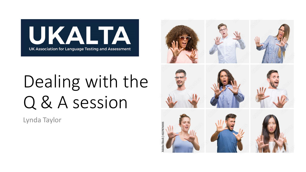

# Dealing with the Q & A session

Lynda Taylor

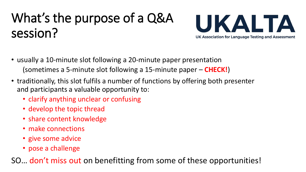## What's the purpose of a Q&A session?



- usually a 10-minute slot following a 20-minute paper presentation (sometimes a 5-minute slot following a 15-minute paper – **CHECK!**)
- traditionally, this slot fulfils a number of functions by offering both presenter and participants a valuable opportunity to:
	- clarify anything unclear or confusing
	- develop the topic thread
	- share content knowledge
	- make connections
	- give some advice
	- pose a challenge

SO… don't miss out on benefitting from some of these opportunities!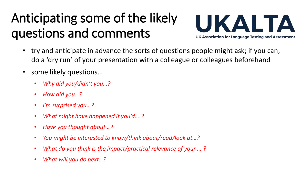## Anticipating some of the likely questions and comments



- try and anticipate in advance the sorts of questions people might ask; if you can, do a 'dry run' of your presentation with a colleague or colleagues beforehand
- some likely questions...
	- *Why did you/didn't you…?*
	- *How did you…?*
	- *I'm surprised you…?*
	- *What might have happened if you'd….?*
	- *Have you thought about…?*
	- *You might be interested to know/think about/read/look at…?*
	- *What do you think is the impact/practical relevance of your ….?*
	- *What will you do next…?*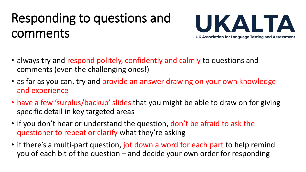#### Responding to questions and comments



- always try and respond politely, confidently and calmly to questions and comments (even the challenging ones!)
- as far as you can, try and provide an answer drawing on your own knowledge and experience
- have a few 'surplus/backup' slides that you might be able to draw on for giving specific detail in key targeted areas
- if you don't hear or understand the question, don't be afraid to ask the questioner to repeat or clarify what they're asking
- if there's a multi-part question, jot down a word for each part to help remind you of each bit of the question – and decide your own order for responding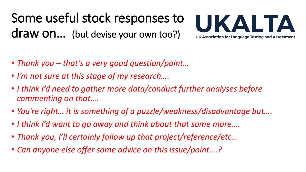Some useful stock responses to draw on… (but devise your own too?)



- *Thank you – that's a very good question/point…*
- *I'm not sure at this stage of my research….*
- *I think I'd need to gather more data/conduct further analyses before commenting on that….*
- *You're right… it is something of a puzzle/weakness/disadvantage but….*
- *I think I'd want to go away and think about that some more….*
- *Thank you, I'll certainly follow up that project/reference/etc…*
- *Can anyone else offer some advice on this issue/point….?*